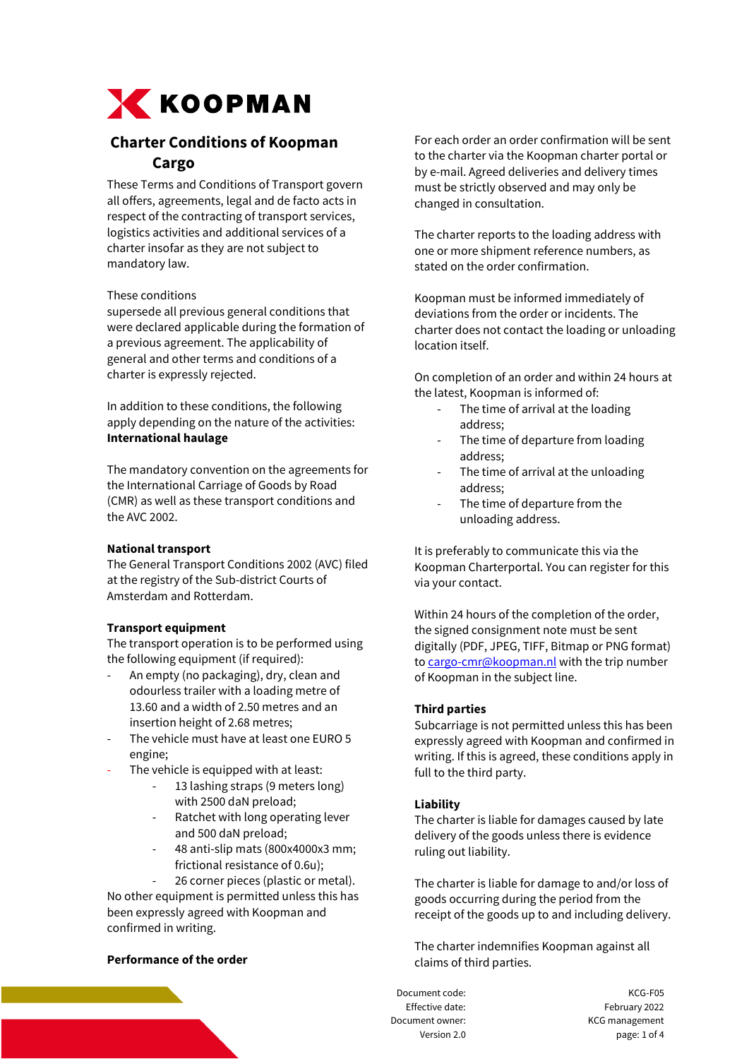

# **Charter Conditions of Koopman Cargo**

These Terms and Conditions of Transport govern all offers, agreements, legal and de facto acts in respect of the contracting of transport services, logistics activities and additional services of a charter insofar as they are not subject to mandatory law.

## These conditions

supersede all previous general conditions that were declared applicable during the formation of a previous agreement. The applicability of general and other terms and conditions of a charter is expressly rejected.

In addition to these conditions, the following apply depending on the nature of the activities: **International haulage**

The mandatory convention on the agreements for the International Carriage of Goods by Road (CMR) as well as these transport conditions and the AVC 2002.

# **National transport**

The General Transport Conditions 2002 (AVC) filed at the registry of the Sub-district Courts of Amsterdam and Rotterdam.

# **Transport equipment**

The transport operation is to be performed using the following equipment (if required):

- An empty (no packaging), dry, clean and odourless trailer with a loading metre of 13.60 and a width of 2.50 metres and an insertion height of 2.68 metres;
- The vehicle must have at least one EURO 5 engine;
- The vehicle is equipped with at least:
	- 13 lashing straps (9 meters long) with 2500 daN preload;
	- Ratchet with long operating lever and 500 daN preload;
	- 48 anti-slip mats (800x4000x3 mm; frictional resistance of 0.6u);
		- 26 corner pieces (plastic or metal).

No other equipment is permitted unless this has been expressly agreed with Koopman and confirmed in writing.

# **Performance of the order**

For each order an order confirmation will be sent to the charter via the Koopman charter portal or by e-mail. Agreed deliveries and delivery times must be strictly observed and may only be changed in consultation.

The charter reports to the loading address with one or more shipment reference numbers, as stated on the order confirmation.

Koopman must be informed immediately of deviations from the order or incidents. The charter does not contact the loading or unloading location itself.

On completion of an order and within 24 hours at the latest, Koopman is informed of:

- The time of arrival at the loading address;
- The time of departure from loading address;
- The time of arrival at the unloading address;
- The time of departure from the unloading address.

It is preferably to communicate this via the Koopman Charterportal. You can register for this via your contact.

Within 24 hours of the completion of the order, the signed consignment note must be sent digitally (PDF, JPEG, TIFF, Bitmap or PNG format) t[o cargo-cmr@koopman.nl](mailto:cargo-cmr@koopman.nl) with the trip number of Koopman in the subject line.

#### **Third parties**

Subcarriage is not permitted unless this has been expressly agreed with Koopman and confirmed in writing. If this is agreed, these conditions apply in full to the third party.

# **Liability**

The charter is liable for damages caused by late delivery of the goods unless there is evidence ruling out liability.

The charter is liable for damage to and/or loss of goods occurring during the period from the receipt of the goods up to and including delivery.

The charter indemnifies Koopman against all claims of third parties.

Document code: KCG-F05 Effective date: Effective date: Document owner: KCG management Version 2.0 page: 1 of 4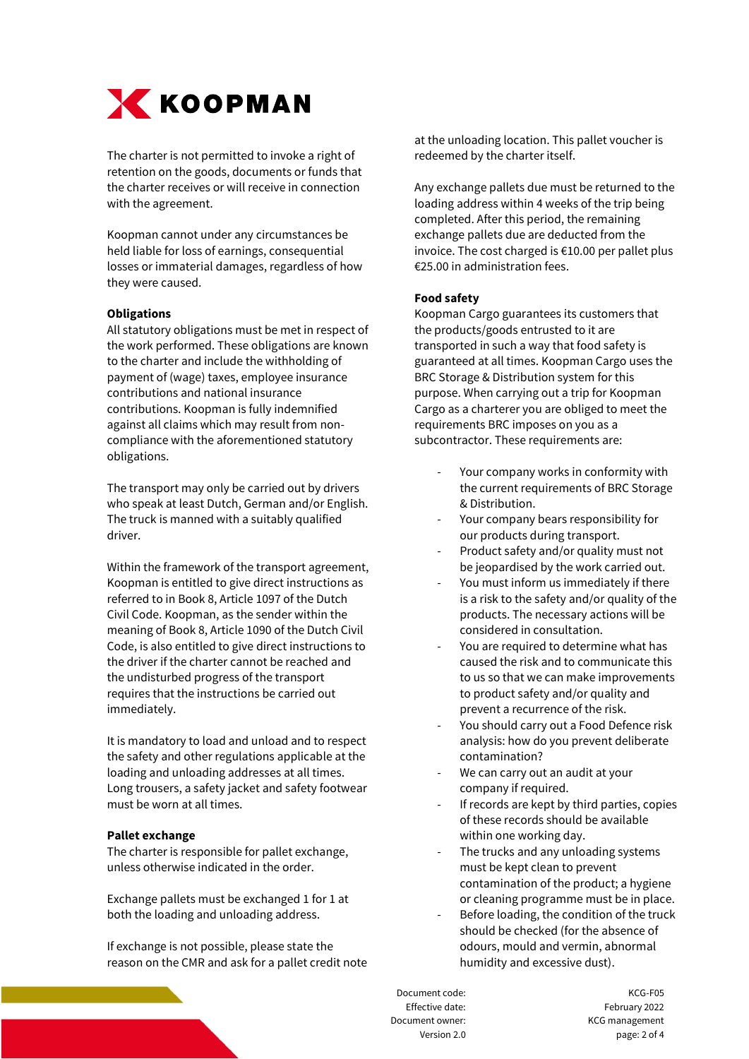

The charter is not permitted to invoke a right of retention on the goods, documents or funds that the charter receives or will receive in connection with the agreement.

Koopman cannot under any circumstances be held liable for loss of earnings, consequential losses or immaterial damages, regardless of how they were caused.

#### **Obligations**

All statutory obligations must be met in respect of the work performed. These obligations are known to the charter and include the withholding of payment of (wage) taxes, employee insurance contributions and national insurance contributions. Koopman is fully indemnified against all claims which may result from noncompliance with the aforementioned statutory obligations.

The transport may only be carried out by drivers who speak at least Dutch, German and/or English. The truck is manned with a suitably qualified driver.

Within the framework of the transport agreement, Koopman is entitled to give direct instructions as referred to in Book 8, Article 1097 of the Dutch Civil Code. Koopman, as the sender within the meaning of Book 8, Article 1090 of the Dutch Civil Code, is also entitled to give direct instructions to the driver if the charter cannot be reached and the undisturbed progress of the transport requires that the instructions be carried out immediately.

It is mandatory to load and unload and to respect the safety and other regulations applicable at the loading and unloading addresses at all times. Long trousers, a safety jacket and safety footwear must be worn at all times.

#### **Pallet exchange**

The charter is responsible for pallet exchange, unless otherwise indicated in the order.

Exchange pallets must be exchanged 1 for 1 at both the loading and unloading address.

If exchange is not possible, please state the reason on the CMR and ask for a pallet credit note at the unloading location. This pallet voucher is redeemed by the charter itself.

Any exchange pallets due must be returned to the loading address within 4 weeks of the trip being completed. After this period, the remaining exchange pallets due are deducted from the invoice. The cost charged is €10.00 per pallet plus €25.00 in administration fees.

## **Food safety**

Koopman Cargo guarantees its customers that the products/goods entrusted to it are transported in such a way that food safety is guaranteed at all times. Koopman Cargo uses the BRC Storage & Distribution system for this purpose. When carrying out a trip for Koopman Cargo as a charterer you are obliged to meet the requirements BRC imposes on you as a subcontractor. These requirements are:

- Your company works in conformity with the current requirements of BRC Storage & Distribution.
- Your company bears responsibility for our products during transport.
- Product safety and/or quality must not be jeopardised by the work carried out.
- You must inform us immediately if there is a risk to the safety and/or quality of the products. The necessary actions will be considered in consultation.
- You are required to determine what has caused the risk and to communicate this to us so that we can make improvements to product safety and/or quality and prevent a recurrence of the risk.
- You should carry out a Food Defence risk analysis: how do you prevent deliberate contamination?
- We can carry out an audit at your company if required.
- If records are kept by third parties, copies of these records should be available within one working day.
- The trucks and any unloading systems must be kept clean to prevent contamination of the product; a hygiene or cleaning programme must be in place.
- Before loading, the condition of the truck should be checked (for the absence of odours, mould and vermin, abnormal humidity and excessive dust).

Document code: KCG-F05 Effective date: Effective date: Document owner: KCG management Version 2.0 page: 2 of 4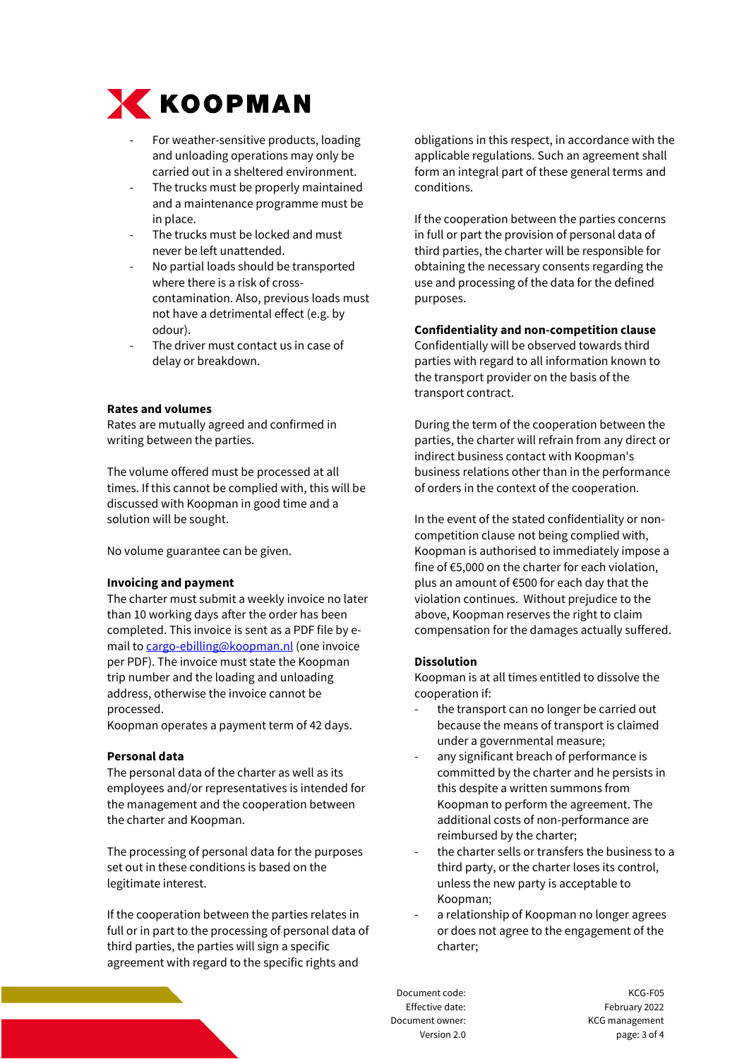

- For weather-sensitive products, loading and unloading operations may only be carried out in a sheltered environment.
- The trucks must be properly maintained and a maintenance programme must be in place.
- The trucks must be locked and must never be left unattended.
- No partial loads should be transported where there is a risk of crosscontamination. Also, previous loads must not have a detrimental effect (e.g. by odour).
- The driver must contact us in case of delay or breakdown.

## **Rates and volumes**

Rates are mutually agreed and confirmed in writing between the parties.

The volume offered must be processed at all times. If this cannot be complied with, this will be discussed with Koopman in good time and a solution will be sought.

No volume guarantee can be given.

#### **Invoicing and payment**

The charter must submit a weekly invoice no later than 10 working days after the order has been completed. This invoice is sent as a PDF file by email t[o cargo-ebilling@koopman.nl](mailto:cargo-ebilling@koopman.nl) (one invoice per PDF). The invoice must state the Koopman trip number and the loading and unloading address, otherwise the invoice cannot be processed.

Koopman operates a payment term of 42 days.

#### **Personal data**

The personal data of the charter as well as its employees and/or representatives is intended for the management and the cooperation between the charter and Koopman.

The processing of personal data for the purposes set out in these conditions is based on the legitimate interest.

If the cooperation between the parties relates in full or in part to the processing of personal data of third parties, the parties will sign a specific agreement with regard to the specific rights and

obligations in this respect, in accordance with the applicable regulations. Such an agreement shall form an integral part of these general terms and conditions.

If the cooperation between the parties concerns in full or part the provision of personal data of third parties, the charter will be responsible for obtaining the necessary consents regarding the use and processing of the data for the defined purposes.

# **Confidentiality and non-competition clause**

Confidentially will be observed towards third parties with regard to all information known to the transport provider on the basis of the transport contract.

During the term of the cooperation between the parties, the charter will refrain from any direct or indirect business contact with Koopman's business relations other than in the performance of orders in the context of the cooperation.

In the event of the stated confidentiality or noncompetition clause not being complied with, Koopman is authorised to immediately impose a fine of €5,000 on the charter for each violation, plus an amount of €500 for each day that the violation continues. Without prejudice to the above, Koopman reserves the right to claim compensation for the damages actually suffered.

#### **Dissolution**

Koopman is at all times entitled to dissolve the cooperation if:

- the transport can no longer be carried out because the means of transport is claimed under a governmental measure;
- any significant breach of performance is committed by the charter and he persists in this despite a written summons from Koopman to perform the agreement. The additional costs of non-performance are reimbursed by the charter;
- the charter sells or transfers the business to a third party, or the charter loses its control, unless the new party is acceptable to Koopman;
- a relationship of Koopman no longer agrees or does not agree to the engagement of the charter;

Document code: KCG-F05 Effective date: Effective date: Document owner: KCG management Version 2.0 page: 3 of 4